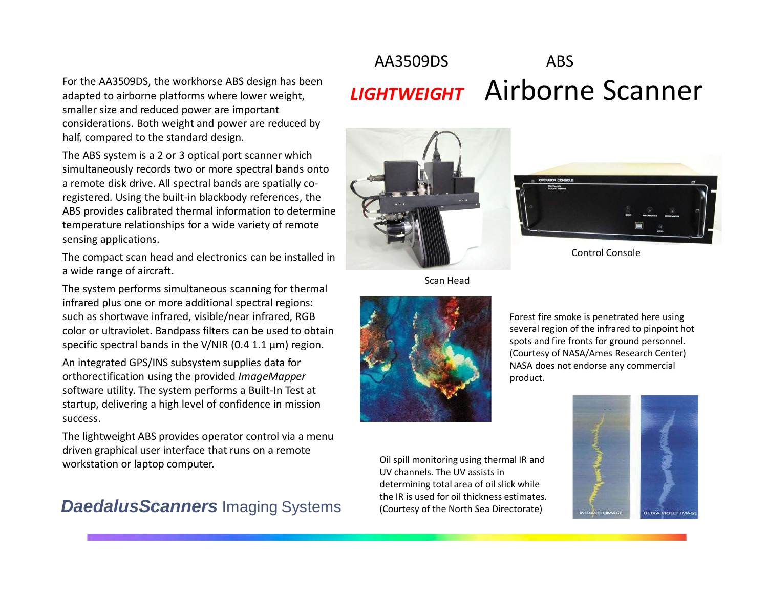For the AA3509DS, the workhorse ABS design has been adapted to airborne platforms where lower weight, smaller size and reduced power are important considerations. Both weight and power are reduced by half, compared to the standard design.

The ABS system is a 2 or 3 optical port scanner which simultaneously records two or more spectral bands onto a remote disk drive. All spectral bands are spatially coregistered. Using the built-in blackbody references, the ABS provides calibrated thermal information to determine temperature relationships for a wide variety of remote sensing applications.

The compact scan head and electronics can be installed in a wide range of aircraft.

The system performs simultaneous scanning for thermal infrared plus one or more additional spectral regions: such as shortwave infrared, visible/near infrared, RGB color or ultraviolet. Bandpass filters can be used to obtain specific spectral bands in the V/NIR (0.4 1.1 μm) region.

An integrated GPS/INS subsystem supplies data for orthorectification using the provided *ImageMapper* software utility. The system performs a Built-In Test at startup, delivering a high level of confidence in mission success.

The lightweight ABS provides operator control via a menu driven graphical user interface that runs on a remote workstation or laptop computer.

## **DaedalusScanners** Imaging Systems the IR is used for oil thickness estimates.<br>
(Courtesy of the North Sea Directorate)

# AA3509DS ABS *LIGHTWEIGHT* Airborne Scanner



Scan Head



Forest fire smoke is penetrated here using several region of the infrared to pinpoint hot spots and fire fronts for ground personnel. (Courtesy of NASA/Ames Research Center) NASA does not endorse any commercial product.

Oil spill monitoring using thermal IR and UV channels. The UV assists in determining total area of oil slick while